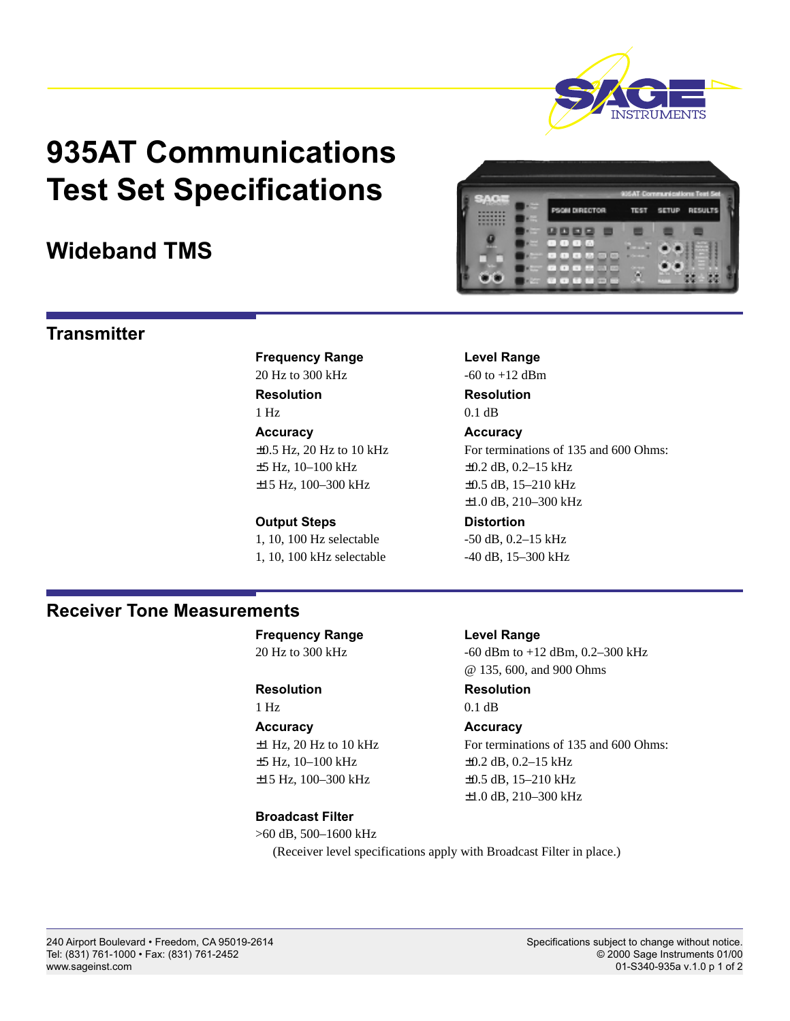

# **935AT Communications Test Set Specifications**

## **Wideband TMS**

**Frequency Range Level Range**  $20 \text{ Hz}$  to  $300 \text{ kHz}$  -60 to  $+12 \text{ dBm}$ **Resolution Resolution** 1 Hz 0.1 dB **Accuracy Accuracy**  $\pm$ 5 Hz, 10–100 kHz  $\pm$ 0.2 dB, 0.2–15 kHz ±15 Hz, 100–300 kHz ±0.5 dB, 15–210 kHz

# **Output Steps Community Control**

1, 10, 100 kHz selectable -40 dB, 15–300 kHz

±0.5 Hz, 20 Hz to 10 kHz For terminations of 135 and 600 Ohms: ±1.0 dB, 210–300 kHz

1, 10, 100 Hz selectable -50 dB, 0.2-15 kHz

## **Receiver Tone Measurements**

**Frequency Range Level Range** 20 Hz to 300 kHz -60 dBm to +12 dBm, 0.2–300 kHz

1 Hz 0.1 dB

**Accuracy Accuracy**  $\pm$ 5 Hz, 10–100 kHz  $\pm$ 0.2 dB, 0.2–15 kHz ±15 Hz, 100–300 kHz ±0.5 dB, 15–210 kHz

## **Broadcast Filter**

>60 dB, 500–1600 kHz (Receiver level specifications apply with Broadcast Filter in place.)

# **Transmitter**

Tel: (831) 761-1000 • Fax: (831) 761-2452

**Resolution Resolution**

@ 135, 600, and 900 Ohms

 $\pm$ 1 Hz, 20 Hz to 10 kHz For terminations of 135 and 600 Ohms: ±1.0 dB, 210–300 kHz

240 Airport Boulevard • Freedom, CA 95019-2614 Specifications subject to change without notice.<br>
Tel: (831) 761-1000 • Fax: (831) 761-2452 Specifications subject to change without notice. www.sageinst.com 01-S340-935a v.1.0 p 1 of 2